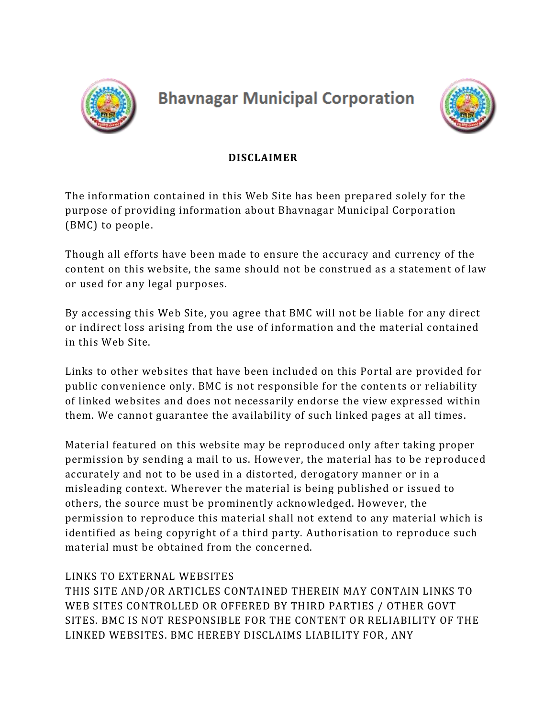

# **Bhavnagar Municipal Corporation**



## **DISCLAIMER**

The information contained in this Web Site has been prepared solely for the purpose of providing information about Bhavnagar Municipal Corporation (BMC) to people.

Though all efforts have been made to ensure the accuracy and currency of the content on this website, the same should not be construed as a statement of law or used for any legal purposes.

By accessing this Web Site, you agree that BMC will not be liable for any direct or indirect loss arising from the use of information and the material contained in this Web Site.

Links to other websites that have been included on this Portal are provided for public convenience only. BMC is not responsible for the contents or reliability of linked websites and does not necessarily endorse the view expressed within them. We cannot guarantee the availability of such linked pages at all times.

Material featured on this website may be reproduced only after taking proper permission by sending a mail to us. However, the material has to be reproduced accurately and not to be used in a distorted, derogatory manner or in a misleading context. Wherever the material is being published or issued to others, the source must be prominently acknowledged. However, the permission to reproduce this material shall not extend to any material which is identified as being copyright of a third party. Authorisation to reproduce such material must be obtained from the concerned.

## LINKS TO EXTERNAL WEBSITES

THIS SITE AND/OR ARTICLES CONTAINED THEREIN MAY CONTAIN LINKS TO WEB SITES CONTROLLED OR OFFERED BY THIRD PARTIES / OTHER GOVT SITES. BMC IS NOT RESPONSIBLE FOR THE CONTENT OR RELIABILITY OF THE LINKED WEBSITES. BMC HEREBY DISCLAIMS LIABILITY FOR, ANY